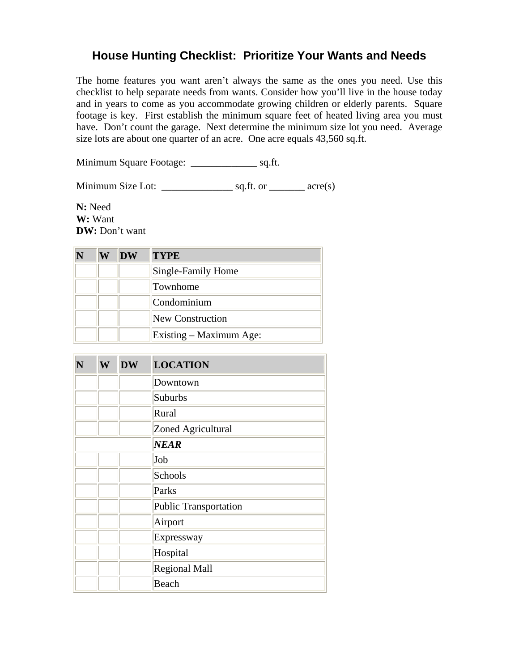## **House Hunting Checklist: Prioritize Your Wants and Needs**

The home features you want aren't always the same as the ones you need. Use this checklist to help separate needs from wants. Consider how you'll live in the house today and in years to come as you accommodate growing children or elderly parents. Square footage is key. First establish the minimum square feet of heated living area you must have. Don't count the garage. Next determine the minimum size lot you need. Average size lots are about one quarter of an acre. One acre equals 43,560 sq.ft.

Minimum Square Footage: \_\_\_\_\_\_\_\_\_\_\_\_\_ sq.ft.

Minimum Size Lot: \_\_\_\_\_\_\_\_\_\_\_\_\_\_ sq.ft. or \_\_\_\_\_\_\_ acre(s)

**N:** Need **W:** Want **DW:** Don't want

| W | <b>DW</b> | <b>TYPE</b>             |
|---|-----------|-------------------------|
|   |           | Single-Family Home      |
|   |           | Townhome                |
|   |           | Condominium             |
|   |           | New Construction        |
|   |           | Existing – Maximum Age: |

| N | W | <b>DW</b> | <b>LOCATION</b>              |
|---|---|-----------|------------------------------|
|   |   |           | Downtown                     |
|   |   |           | Suburbs                      |
|   |   |           | Rural                        |
|   |   |           | Zoned Agricultural           |
|   |   |           | <b>NEAR</b>                  |
|   |   |           | Job                          |
|   |   |           | Schools                      |
|   |   |           | Parks                        |
|   |   |           | <b>Public Transportation</b> |
|   |   |           | Airport                      |
|   |   |           | Expressway                   |
|   |   |           | Hospital                     |
|   |   |           | <b>Regional Mall</b>         |
|   |   |           | Beach                        |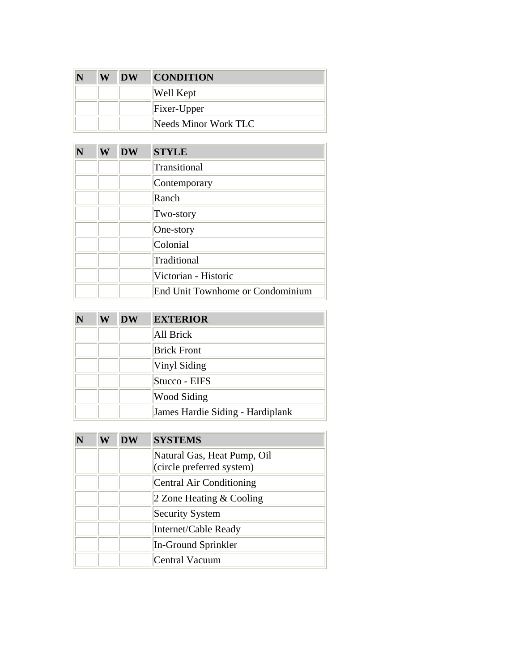| W | <b>DW</b> | <b>CONDITION</b>     |
|---|-----------|----------------------|
|   |           | Well Kept            |
|   |           | Fixer-Upper          |
|   |           | Needs Minor Work TLC |

| N | W | <b>DW</b> | <b>STYLE</b>                     |
|---|---|-----------|----------------------------------|
|   |   |           | Transitional                     |
|   |   |           | Contemporary                     |
|   |   |           | Ranch                            |
|   |   |           | Two-story                        |
|   |   |           | One-story                        |
|   |   |           | Colonial                         |
|   |   |           | Traditional                      |
|   |   |           | Victorian - Historic             |
|   |   |           | End Unit Townhome or Condominium |

| W | <b>DW</b> | <b>EXTERIOR</b>                  |
|---|-----------|----------------------------------|
|   |           | All Brick                        |
|   |           | <b>Brick Front</b>               |
|   |           | Vinyl Siding                     |
|   |           | Stucco - EIFS                    |
|   |           | <b>Wood Siding</b>               |
|   |           | James Hardie Siding - Hardiplank |

| W | <b>DW</b> | <b>SYSTEMS</b>                                           |
|---|-----------|----------------------------------------------------------|
|   |           | Natural Gas, Heat Pump, Oil<br>(circle preferred system) |
|   |           | Central Air Conditioning                                 |
|   |           | 2 Zone Heating $&$ Cooling                               |
|   |           | <b>Security System</b>                                   |
|   |           | Internet/Cable Ready                                     |
|   |           | In-Ground Sprinkler                                      |
|   |           | <b>Central Vacuum</b>                                    |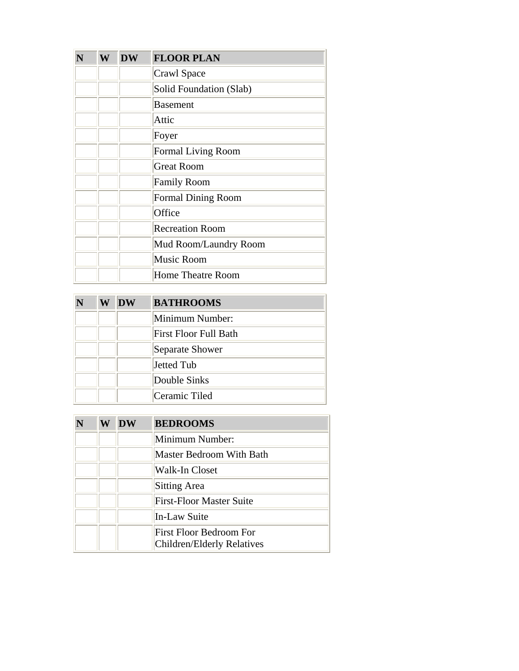| W | <b>DW</b> | <b>FLOOR PLAN</b>         |
|---|-----------|---------------------------|
|   |           | Crawl Space               |
|   |           | Solid Foundation (Slab)   |
|   |           | <b>Basement</b>           |
|   |           | Attic                     |
|   |           | Foyer                     |
|   |           | <b>Formal Living Room</b> |
|   |           | <b>Great Room</b>         |
|   |           | <b>Family Room</b>        |
|   |           | <b>Formal Dining Room</b> |
|   |           | Office                    |
|   |           | <b>Recreation Room</b>    |
|   |           | Mud Room/Laundry Room     |
|   |           | <b>Music Room</b>         |
|   |           | <b>Home Theatre Room</b>  |

| W | <b>DW</b> | <b>BATHROOMS</b>             |
|---|-----------|------------------------------|
|   |           | Minimum Number:              |
|   |           | <b>First Floor Full Bath</b> |
|   |           | Separate Shower              |
|   |           | Jetted Tub                   |
|   |           | Double Sinks                 |
|   |           | Ceramic Tiled                |

| W | <b>DW</b> | <b>BEDROOMS</b>                                       |
|---|-----------|-------------------------------------------------------|
|   |           | Minimum Number:                                       |
|   |           | Master Bedroom With Bath                              |
|   |           | Walk-In Closet                                        |
|   |           | <b>Sitting Area</b>                                   |
|   |           | <b>First-Floor Master Suite</b>                       |
|   |           | In-Law Suite                                          |
|   |           | First Floor Bedroom For<br>Children/Elderly Relatives |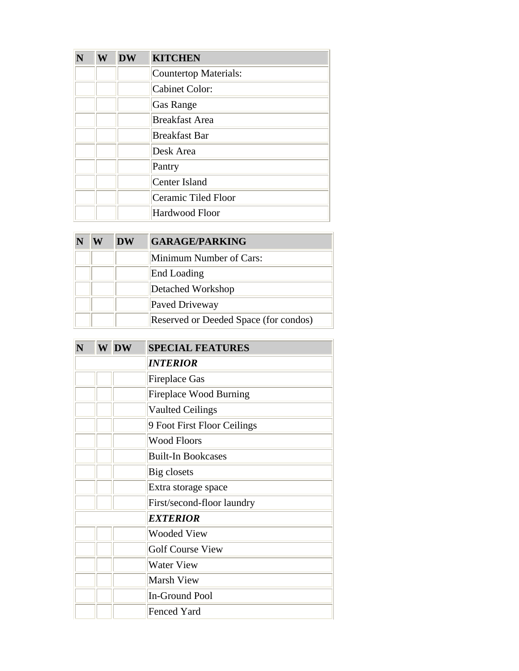| N | W | <b>DW</b> | <b>KITCHEN</b>        |
|---|---|-----------|-----------------------|
|   |   |           | Countertop Materials: |
|   |   |           | <b>Cabinet Color:</b> |
|   |   |           | <b>Gas Range</b>      |
|   |   |           | <b>Breakfast Area</b> |
|   |   |           | <b>Breakfast Bar</b>  |
|   |   |           | Desk Area             |
|   |   |           | Pantry                |
|   |   |           | Center Island         |
|   |   |           | Ceramic Tiled Floor   |
|   |   |           | <b>Hardwood Floor</b> |

| W | DW | <b>GARAGE/PARKING</b>                 |
|---|----|---------------------------------------|
|   |    | Minimum Number of Cars:               |
|   |    | End Loading                           |
|   |    | Detached Workshop                     |
|   |    | Paved Driveway                        |
|   |    | Reserved or Deeded Space (for condos) |

| N | W | <b>DW</b> | <b>SPECIAL FEATURES</b>       |
|---|---|-----------|-------------------------------|
|   |   |           | <i><b>INTERIOR</b></i>        |
|   |   |           | <b>Fireplace Gas</b>          |
|   |   |           | <b>Fireplace Wood Burning</b> |
|   |   |           | <b>Vaulted Ceilings</b>       |
|   |   |           | 9 Foot First Floor Ceilings   |
|   |   |           | <b>Wood Floors</b>            |
|   |   |           | <b>Built-In Bookcases</b>     |
|   |   |           | Big closets                   |
|   |   |           | Extra storage space           |
|   |   |           | First/second-floor laundry    |
|   |   |           | <b>EXTERIOR</b>               |
|   |   |           | <b>Wooded View</b>            |
|   |   |           | <b>Golf Course View</b>       |
|   |   |           | <b>Water View</b>             |
|   |   |           | Marsh View                    |
|   |   |           | <b>In-Ground Pool</b>         |
|   |   |           | <b>Fenced Yard</b>            |